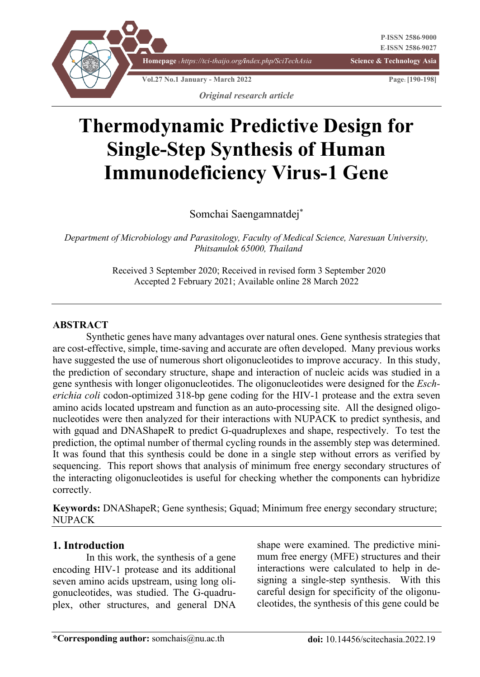

# **Thermodynamic Predictive Design for Single-Step Synthesis of Human Immunodeficiency Virus-1 Gene**

Somchai Saengamnatdej\*

*Department of Microbiology and Parasitology, Faculty of Medical Science, Naresuan University, Phitsanulok 65000, Thailand*

> Received 3 September 2020; Received in revised form 3 September 2020 Accepted 2 February 2021; Available online 28 March 2022

#### **ABSTRACT**

Synthetic genes have many advantages over natural ones. Gene synthesis strategies that are cost-effective, simple, time-saving and accurate are often developed. Many previous works have suggested the use of numerous short oligonucleotides to improve accuracy. In this study, the prediction of secondary structure, shape and interaction of nucleic acids was studied in a gene synthesis with longer oligonucleotides. The oligonucleotides were designed for the *Escherichia coli* codon-optimized 318-bp gene coding for the HIV-1 protease and the extra seven amino acids located upstream and function as an auto-processing site. All the designed oligonucleotides were then analyzed for their interactions with NUPACK to predict synthesis, and with gquad and DNAShapeR to predict G-quadruplexes and shape, respectively. To test the prediction, the optimal number of thermal cycling rounds in the assembly step was determined. It was found that this synthesis could be done in a single step without errors as verified by sequencing. This report shows that analysis of minimum free energy secondary structures of the interacting oligonucleotides is useful for checking whether the components can hybridize correctly.

**Keywords:** DNAShapeR; Gene synthesis; Gquad; Minimum free energy secondary structure; **NUPACK** 

# **1. Introduction**

In this work, the synthesis of a gene encoding HIV-1 protease and its additional seven amino acids upstream, using long oligonucleotides, was studied. The G-quadruplex, other structures, and general DNA

shape were examined. The predictive minimum free energy (MFE) structures and their interactions were calculated to help in designing a single-step synthesis. With this careful design for specificity of the oligonucleotides, the synthesis of this gene could be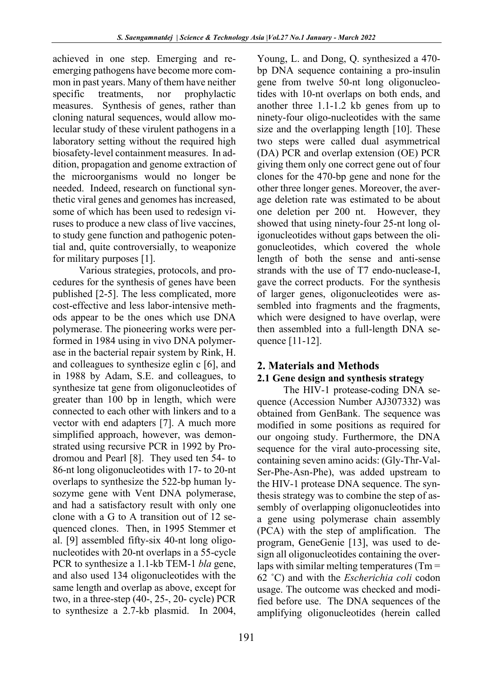achieved in one step. Emerging and reemerging pathogens have become more common in past years. Many of them have neither specific treatments, nor prophylactic measures. Synthesis of genes, rather than cloning natural sequences, would allow molecular study of these virulent pathogens in a laboratory setting without the required high biosafety-level containment measures. In addition, propagation and genome extraction of the microorganisms would no longer be needed. Indeed, research on functional synthetic viral genes and genomes has increased, some of which has been used to redesign viruses to produce a new class of live vaccines, to study gene function and pathogenic potential and, quite controversially, to weaponize for military purposes [1].

Various strategies, protocols, and procedures for the synthesis of genes have been published [2-5]. The less complicated, more cost-effective and less labor-intensive methods appear to be the ones which use DNA polymerase. The pioneering works were performed in 1984 using in vivo DNA polymerase in the bacterial repair system by Rink, H. and colleagues to synthesize eglin c [6], and in 1988 by Adam, S.E. and colleagues, to synthesize tat gene from oligonucleotides of greater than 100 bp in length, which were connected to each other with linkers and to a vector with end adapters [7]. A much more simplified approach, however, was demonstrated using recursive PCR in 1992 by Prodromou and Pearl [8]. They used ten 54- to 86-nt long oligonucleotides with 17- to 20-nt overlaps to synthesize the 522-bp human lysozyme gene with Vent DNA polymerase, and had a satisfactory result with only one clone with a G to A transition out of 12 sequenced clones. Then, in 1995 Stemmer et al. [9] assembled fifty-six 40-nt long oligonucleotides with 20-nt overlaps in a 55-cycle PCR to synthesize a 1.1-kb TEM-1 *bla* gene, and also used 134 oligonucleotides with the same length and overlap as above, except for two, in a three-step (40-, 25-, 20- cycle) PCR to synthesize a 2.7-kb plasmid. In 2004,

Young, L. and Dong, Q. synthesized a 470 bp DNA sequence containing a pro-insulin gene from twelve 50-nt long oligonucleotides with 10-nt overlaps on both ends, and another three 1.1-1.2 kb genes from up to ninety-four oligo-nucleotides with the same size and the overlapping length [10]. These two steps were called dual asymmetrical (DA) PCR and overlap extension (OE) PCR giving them only one correct gene out of four clones for the 470-bp gene and none for the other three longer genes. Moreover, the average deletion rate was estimated to be about one deletion per 200 nt. However, they showed that using ninety-four 25-nt long oligonucleotides without gaps between the oligonucleotides, which covered the whole length of both the sense and anti-sense strands with the use of T7 endo-nuclease-I, gave the correct products. For the synthesis of larger genes, oligonucleotides were assembled into fragments and the fragments, which were designed to have overlap, were then assembled into a full-length DNA sequence [11-12].

# **2. Materials and Methods**

# **2.1 Gene design and synthesis strategy**

The HIV-1 protease-coding DNA sequence (Accession Number AJ307332) was obtained from GenBank. The sequence was modified in some positions as required for our ongoing study. Furthermore, the DNA sequence for the viral auto-processing site, containing seven amino acids: (Gly-Thr-Val-Ser-Phe-Asn-Phe), was added upstream to the HIV-1 protease DNA sequence. The synthesis strategy was to combine the step of assembly of overlapping oligonucleotides into a gene using polymerase chain assembly (PCA) with the step of amplification. The program, GeneGenie [13], was used to design all oligonucleotides containing the overlaps with similar melting temperatures (Tm = 62 ˚C) and with the *Escherichia coli* codon usage. The outcome was checked and modified before use. The DNA sequences of the amplifying oligonucleotides (herein called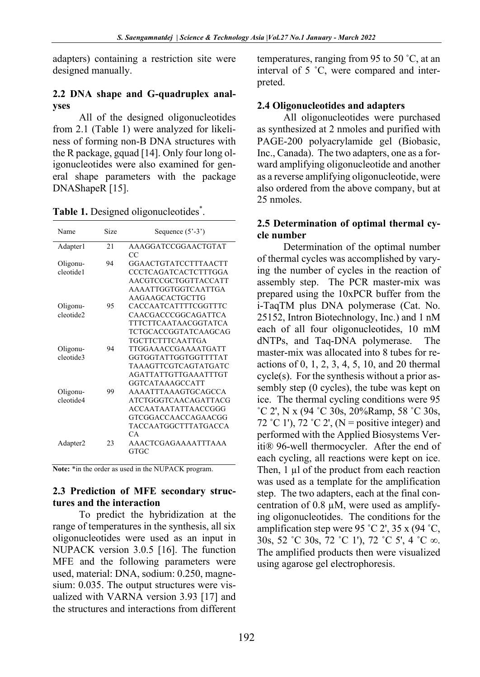adapters) containing a restriction site were designed manually.

# **2.2 DNA shape and G-quadruplex analyses**

All of the designed oligonucleotides from 2.1 (Table 1) were analyzed for likeliness of forming non-B DNA structures with the R package, gquad [14]. Only four long oligonucleotides were also examined for general shape parameters with the package DNAShapeR [15].

| Name                              | Size | Sequence $(5'-3')$                                                                                                                             |  |
|-----------------------------------|------|------------------------------------------------------------------------------------------------------------------------------------------------|--|
| Adapter1                          | 2.1  | AAAGGATCCGGAACTGTAT                                                                                                                            |  |
| Oligonu-<br>cleotide1             | 94   | CC<br>GGAACTGTATCCTTTAACTT<br>CCCTCAGATCACTCTTTGGA<br>AACGTCCGCTGGTTACCATT<br><b>AAAATTGGTGGTCAATTGA</b>                                       |  |
| Oligonu-<br>cleotide <sub>2</sub> | 95   | AAGAAGCACTGCTTG<br>CACCAATCATTTTCGGTTTC<br>CAACGACCCGGCAGATTCA<br><b>TTTCTTCAATAACGGTATCA</b><br>TCTGCACCGGTATCAAGCAG                          |  |
| Oligonu-<br>cleotide3             | 94   | TGCTTCTTTCAATTGA<br>TTGGA A ACCGA A A ATGATT<br>GGTGGTATTGGTGGTTTTAT<br>TAAAGTTCGTCAGTATGATC<br><b>AGATTATTGTTGAAATTTGT</b><br>GGTCATAAAGCCATT |  |
| Oligonu-<br>cleotide4             | 99   | <b>AAAATTTAAAGTGCAGCCA</b><br>ATCTGGGTCAACAGATTACG<br>ACCAATAATATTAACCGGG<br>GTCGGACCAACCAGAACGG<br><b>TACCAATGGCTTTATGACCA</b><br>CA.         |  |
| Adapter <sub>2</sub>              | 23   | <b>AAACTCGAGAAAATTTAAA</b><br>GTGC                                                                                                             |  |

Table 1. Designed oligonucleotides\*.

**Note:** \*in the order as used in the NUPACK program.

# **2.3 Prediction of MFE secondary structures and the interaction**

To predict the hybridization at the range of temperatures in the synthesis, all six oligonucleotides were used as an input in NUPACK version 3.0.5 [16]. The function MFE and the following parameters were used, material: DNA, sodium: 0.250, magnesium: 0.035. The output structures were visualized with VARNA version 3.93 [17] and the structures and interactions from different

temperatures, ranging from 95 to 50 ˚C, at an interval of 5 ˚C, were compared and interpreted.

# **2.4 Oligonucleotides and adapters**

All oligonucleotides were purchased as synthesized at 2 nmoles and purified with PAGE-200 polyacrylamide gel (Biobasic, Inc., Canada). The two adapters, one as a forward amplifying oligonucleotide and another as a reverse amplifying oligonucleotide, were also ordered from the above company, but at 25 nmoles.

# **2.5 Determination of optimal thermal cycle number**

Determination of the optimal number of thermal cycles was accomplished by varying the number of cycles in the reaction of assembly step. The PCR master-mix was prepared using the 10xPCR buffer from the i-TaqTM plus DNA polymerase (Cat. No. 25152, Intron Biotechnology, Inc.) and 1 nM each of all four oligonucleotides, 10 mM dNTPs, and Taq-DNA polymerase. The master-mix was allocated into 8 tubes for reactions of 0, 1, 2, 3, 4, 5, 10, and 20 thermal cycle(s). For the synthesis without a prior assembly step (0 cycles), the tube was kept on ice. The thermal cycling conditions were 95 ˚C 2', N x (94 ˚C 30s, 20%Ramp, 58 ˚C 30s, 72 °C 1'), 72 °C 2', (N = positive integer) and performed with the Applied Biosystems Veriti® 96-well thermocycler. After the end of each cycling, all reactions were kept on ice. Then, 1 µl of the product from each reaction was used as a template for the amplification step. The two adapters, each at the final concentration of 0.8  $\mu$ M, were used as amplifying oligonucleotides. The conditions for the amplification step were 95 °C 2', 35 x (94 °C, 30s, 52 ˚C 30s, 72 ˚C 1'), 72 ˚C 5', 4 ˚C ∞. The amplified products then were visualized using agarose gel electrophoresis.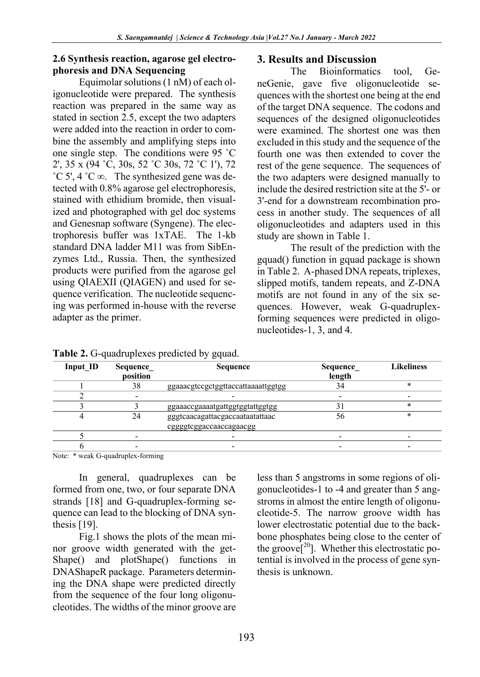# **2.6 Synthesis reaction, agarose gel electrophoresis and DNA Sequencing**

Equimolar solutions (1 nM) of each oligonucleotide were prepared. The synthesis reaction was prepared in the same way as stated in section 2.5, except the two adapters were added into the reaction in order to combine the assembly and amplifying steps into one single step. The conditions were 95 ˚C 2', 35 x (94 ˚C, 30s, 52 ˚C 30s, 72 ˚C 1'), 72 ˚C 5', 4 ˚C ∞. The synthesized gene was detected with 0.8% agarose gel electrophoresis, stained with ethidium bromide, then visualized and photographed with gel doc systems and Genesnap software (Syngene). The electrophoresis buffer was 1xTAE. The 1-kb standard DNA ladder M11 was from SibEnzymes Ltd., Russia. Then, the synthesized products were purified from the agarose gel using QIAEXII (QIAGEN) and used for sequence verification. The nucleotide sequencing was performed in-house with the reverse adapter as the primer.

#### **3. Results and Discussion**

The Bioinformatics tool, GeneGenie, gave five oligonucleotide sequences with the shortest one being at the end of the target DNA sequence. The codons and sequences of the designed oligonucleotides were examined. The shortest one was then excluded in this study and the sequence of the fourth one was then extended to cover the rest of the gene sequence. The sequences of the two adapters were designed manually to include the desired restriction site at the 5'- or 3'-end for a downstream recombination process in another study. The sequences of all oligonucleotides and adapters used in this study are shown in Table 1.

The result of the prediction with the gquad() function in gquad package is shown in Table 2. A-phased DNA repeats, triplexes, slipped motifs, tandem repeats, and Z-DNA motifs are not found in any of the six sequences. However, weak G-quadruplexforming sequences were predicted in oligonucleotides-1, 3, and 4.

| Input ID | Sequence | <b>Sequence</b>                                            | Sequence | <b>Likeliness</b> |
|----------|----------|------------------------------------------------------------|----------|-------------------|
|          | position |                                                            | length   |                   |
|          | 38       | ggaaacgtccgctggttaccattaaaattggtgg                         |          |                   |
|          |          |                                                            |          |                   |
|          |          | ggaaaccgaaaatgattggtggtattggtgg                            |          |                   |
|          | 24       | gggtcaacagattacgaccaataatattaac<br>cggggtcggaccaaccagaacgg | 56       | *                 |
|          |          |                                                            |          |                   |
|          |          |                                                            |          |                   |

**Table 2.** G-quadruplexes predicted by gquad.

Note: \* weak G-quadruplex-forming

In general, quadruplexes can be formed from one, two, or four separate DNA strands [18] and G-quadruplex-forming sequence can lead to the blocking of DNA synthesis [19].

Fig.1 shows the plots of the mean minor groove width generated with the get-Shape() and plotShape() functions in DNAShapeR package. Parameters determining the DNA shape were predicted directly from the sequence of the four long oligonucleotides. The widths of the minor groove are

less than 5 angstroms in some regions of oligonucleotides-1 to -4 and greater than 5 angstroms in almost the entire length of oligonucleotide-5. The narrow groove width has lower electrostatic potential due to the backbone phosphates being close to the center of the groove<sup>[20</sup>]. Whether this electrostatic potential is involved in the process of gene synthesis is unknown.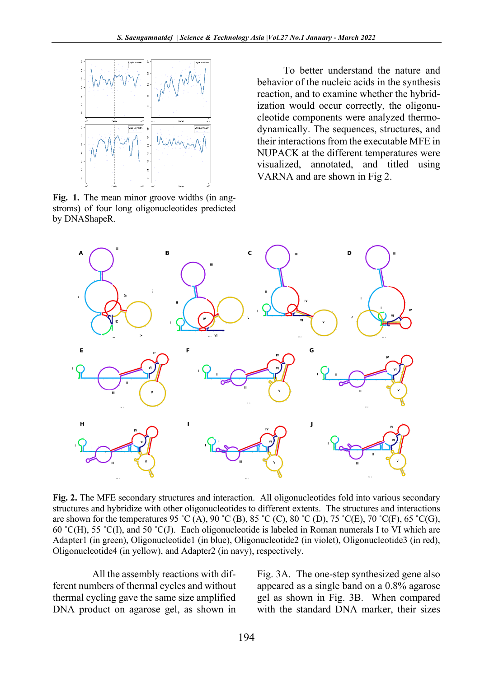

**Fig. 1.** The mean minor groove widths (in angstroms) of four long oligonucleotides predicted by DNAShapeR.

To better understand the nature and behavior of the nucleic acids in the synthesis reaction, and to examine whether the hybridization would occur correctly, the oligonucleotide components were analyzed thermodynamically. The sequences, structures, and their interactions from the executable MFE in NUPACK at the different temperatures were visualized, annotated, and titled using VARNA and are shown in Fig 2.



**Fig. 2.** The MFE secondary structures and interaction. All oligonucleotides fold into various secondary structures and hybridize with other oligonucleotides to different extents. The structures and interactions are shown for the temperatures 95 °C (A), 90 °C (B), 85 °C (C), 80 °C (D), 75 °C(E), 70 °C(F), 65 °C(G), 60 °C(H), 55 °C(I), and 50 °C(J). Each oligonucleotide is labeled in Roman numerals I to VI which are Adapter1 (in green), Oligonucleotide1 (in blue), Oligonucleotide2 (in violet), Oligonucleotide3 (in red), Oligonucleotide4 (in yellow), and Adapter2 (in navy), respectively.

All the assembly reactions with different numbers of thermal cycles and without thermal cycling gave the same size amplified DNA product on agarose gel, as shown in

Fig. 3A. The one-step synthesized gene also appeared as a single band on a 0.8% agarose gel as shown in Fig. 3B. When compared with the standard DNA marker, their sizes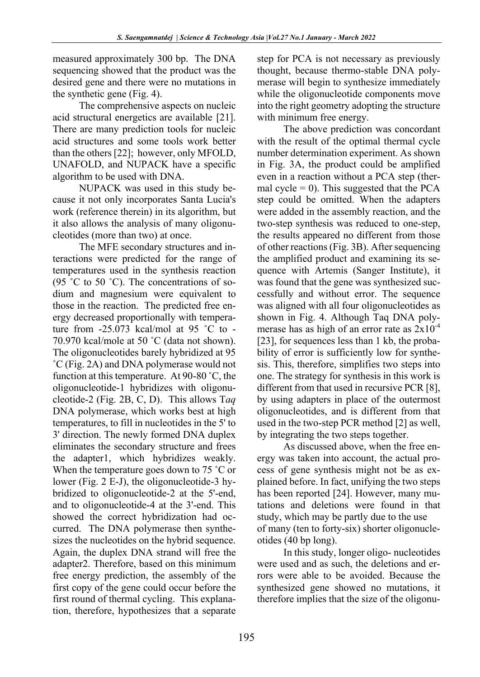measured approximately 300 bp. The DNA sequencing showed that the product was the desired gene and there were no mutations in the synthetic gene (Fig. 4).

The comprehensive aspects on nucleic acid structural energetics are available [21]. There are many prediction tools for nucleic acid structures and some tools work better than the others[22]; however, only MFOLD, UNAFOLD, and NUPACK have a specific algorithm to be used with DNA.

NUPACK was used in this study because it not only incorporates Santa Lucia's work (reference therein) in its algorithm, but it also allows the analysis of many oligonucleotides (more than two) at once.

The MFE secondary structures and interactions were predicted for the range of temperatures used in the synthesis reaction (95  $\degree$ C to 50  $\degree$ C). The concentrations of sodium and magnesium were equivalent to those in the reaction. The predicted free energy decreased proportionally with temperature from  $-25.073$  kcal/mol at 95 °C to  $-$ 70.970 kcal/mole at 50 ˚C (data not shown). The oligonucleotides barely hybridized at 95 ˚C (Fig. 2A) and DNA polymerase would not function at this temperature. At 90-80 ˚C, the oligonucleotide-1 hybridizes with oligonucleotide-2 (Fig. 2B, C, D). This allows T*aq* DNA polymerase, which works best at high temperatures, to fill in nucleotides in the 5' to 3' direction. The newly formed DNA duplex eliminates the secondary structure and frees the adapter1, which hybridizes weakly. When the temperature goes down to 75 °C or lower (Fig. 2 E-J), the oligonucleotide-3 hybridized to oligonucleotide-2 at the 5'-end, and to oligonucleotide-4 at the 3'-end. This showed the correct hybridization had occurred. The DNA polymerase then synthesizes the nucleotides on the hybrid sequence. Again, the duplex DNA strand will free the adapter2. Therefore, based on this minimum free energy prediction, the assembly of the first copy of the gene could occur before the first round of thermal cycling. This explanation, therefore, hypothesizes that a separate

step for PCA is not necessary as previously thought, because thermo-stable DNA polymerase will begin to synthesize immediately while the oligonucleotide components move into the right geometry adopting the structure with minimum free energy.

The above prediction was concordant with the result of the optimal thermal cycle number determination experiment. As shown in Fig. 3A, the product could be amplified even in a reaction without a PCA step (thermal cycle = 0). This suggested that the PCA step could be omitted. When the adapters were added in the assembly reaction, and the two-step synthesis was reduced to one-step, the results appeared no different from those of other reactions (Fig. 3B). After sequencing the amplified product and examining its sequence with Artemis (Sanger Institute), it was found that the gene was synthesized successfully and without error. The sequence was aligned with all four oligonucleotides as shown in Fig. 4. Although Taq DNA polymerase has as high of an error rate as  $2x10^{-4}$ [23], for sequences less than 1 kb, the probability of error is sufficiently low for synthesis. This, therefore, simplifies two steps into one. The strategy for synthesis in this work is different from that used in recursive PCR [8], by using adapters in place of the outermost oligonucleotides, and is different from that used in the two-step PCR method [2] as well, by integrating the two steps together.

As discussed above, when the free energy was taken into account, the actual process of gene synthesis might not be as explained before. In fact, unifying the two steps has been reported [24]. However, many mutations and deletions were found in that study, which may be partly due to the use of many (ten to forty-six) shorter oligonucleotides (40 bp long).

In this study, longer oligo- nucleotides were used and as such, the deletions and errors were able to be avoided. Because the synthesized gene showed no mutations, it therefore implies that the size of the oligonu-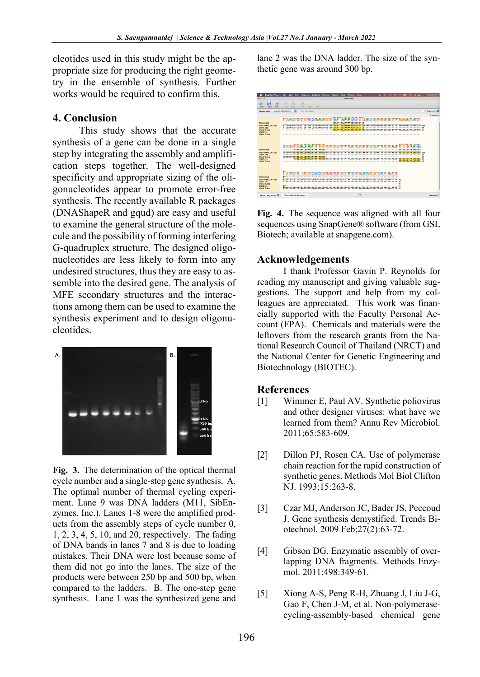cleotides used in this study might be the appropriate size for producing the right geometry in the ensemble of synthesis. Further works would be required to confirm this.

# **4. Conclusion**

This study shows that the accurate synthesis of a gene can be done in a single step by integrating the assembly and amplification steps together. The well-designed specificity and appropriate sizing of the oligonucleotides appear to promote error-free synthesis. The recently available R packages (DNAShapeR and gqud) are easy and useful to examine the general structure of the molecule and the possibility of forming interfering G-quadruplex structure. The designed oligonucleotides are less likely to form into any undesired structures, thus they are easy to assemble into the desired gene. The analysis of MFE secondary structures and the interactions among them can be used to examine the synthesis experiment and to design oligonucleotides.



**Fig. 3.** The determination of the optical thermal cycle number and a single-step gene synthesis. A. The optimal number of thermal cycling experiment. Lane 9 was DNA ladders (M11, SibEnzymes, Inc.). Lanes 1-8 were the amplified products from the assembly steps of cycle number 0, 1, 2, 3, 4, 5, 10, and 20, respectively. The fading of DNA bands in lanes 7 and 8 is due to loading mistakes. Their DNA were lost because some of them did not go into the lanes. The size of the products were between 250 bp and 500 bp, when compared to the ladders. B. The one-step gene synthesis. Lane 1 was the synthesized gene and lane 2 was the DNA ladder. The size of the synthetic gene was around 300 bp.



**Fig. 4.** The sequence was aligned with all four sequences using SnapGene® software (from GSL Biotech; available at snapgene.com).

# **Acknowledgements**

I thank Professor Gavin P. Reynolds for reading my manuscript and giving valuable suggestions. The support and help from my colleagues are appreciated. This work was financially supported with the Faculty Personal Account (FPA). Chemicals and materials were the leftovers from the research grants from the National Research Council of Thailand (NRCT) and the National Center for Genetic Engineering and Biotechnology (BIOTEC).

# **References**

- [1] Wimmer E, Paul AV. Synthetic poliovirus and other designer viruses: what have we learned from them? Annu Rev Microbiol. 2011;65:583-609.
- [2] Dillon PJ, Rosen CA. Use of polymerase chain reaction for the rapid construction of synthetic genes. Methods Mol Biol Clifton NJ. 1993;15:263-8.
- [3] Czar MJ, Anderson JC, Bader JS, Peccoud J. Gene synthesis demystified. Trends Biotechnol. 2009 Feb;27(2):63-72.
- [4] Gibson DG. Enzymatic assembly of overlapping DNA fragments. Methods Enzymol. 2011;498:349-61.
- [5] Xiong A-S, Peng R-H, Zhuang J, Liu J-G, Gao F, Chen J-M, et al. Non-polymerasecycling-assembly-based chemical gene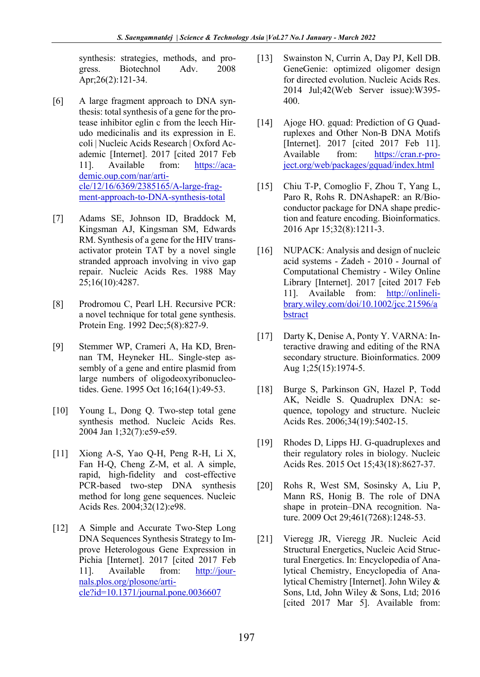synthesis: strategies, methods, and progress. Biotechnol Adv. 2008 Apr;26(2):121-34.

- [6] A large fragment approach to DNA synthesis: total synthesis of a gene for the protease inhibitor eglin c from the leech Hirudo medicinalis and its expression in E. coli | Nucleic Acids Research | Oxford Academic [Internet]. 2017 [cited 2017 Feb 11]. Available from: https://academic.oup.com/nar/article/12/16/6369/2385165/A-large-fragment-approach-to-DNA-synthesis-total
- [7] Adams SE, Johnson ID, Braddock M, Kingsman AJ, Kingsman SM, Edwards RM. Synthesis of a gene for the HIV transactivator protein TAT by a novel single stranded approach involving in vivo gap repair. Nucleic Acids Res. 1988 May 25;16(10):4287.
- [8] Prodromou C, Pearl LH. Recursive PCR: a novel technique for total gene synthesis. Protein Eng. 1992 Dec;5(8):827-9.
- [9] Stemmer WP, Crameri A, Ha KD, Brennan TM, Heyneker HL. Single-step assembly of a gene and entire plasmid from large numbers of oligodeoxyribonucleotides. Gene. 1995 Oct 16;164(1):49-53.
- [10] Young L, Dong Q. Two-step total gene synthesis method. Nucleic Acids Res. 2004 Jan 1;32(7):e59-e59.
- [11] Xiong A-S, Yao Q-H, Peng R-H, Li X, Fan H-Q, Cheng Z-M, et al. A simple, rapid, high-fidelity and cost-effective PCR-based two-step DNA synthesis method for long gene sequences. Nucleic Acids Res. 2004;32(12):e98.
- [12] A Simple and Accurate Two-Step Long DNA Sequences Synthesis Strategy to Improve Heterologous Gene Expression in Pichia [Internet]. 2017 [cited 2017 Feb 11]. Available from: http://journals.plos.org/plosone/article?id=10.1371/journal.pone.0036607
- [13] Swainston N, Currin A, Day PJ, Kell DB. GeneGenie: optimized oligomer design for directed evolution. Nucleic Acids Res. 2014 Jul;42(Web Server issue):W395- 400.
- [14] Ajoge HO. gquad: Prediction of G Quadruplexes and Other Non-B DNA Motifs [Internet]. 2017 [cited 2017 Feb 11]. Available from: https://cran.r-project.org/web/packages/gquad/index.html
- [15] Chiu T-P, Comoglio F, Zhou T, Yang L, Paro R, Rohs R. DNAshapeR: an R/Bioconductor package for DNA shape prediction and feature encoding. Bioinformatics. 2016 Apr 15;32(8):1211-3.
- [16] NUPACK: Analysis and design of nucleic acid systems - Zadeh - 2010 - Journal of Computational Chemistry - Wiley Online Library [Internet]. 2017 [cited 2017 Feb 11]. Available from: http://onlinelibrary.wiley.com/doi/10.1002/jcc.21596/a bstract
- [17] Darty K, Denise A, Ponty Y. VARNA: Interactive drawing and editing of the RNA secondary structure. Bioinformatics. 2009 Aug 1;25(15):1974-5.
- [18] Burge S, Parkinson GN, Hazel P, Todd AK, Neidle S. Quadruplex DNA: sequence, topology and structure. Nucleic Acids Res. 2006;34(19):5402-15.
- [19] Rhodes D, Lipps HJ. G-quadruplexes and their regulatory roles in biology. Nucleic Acids Res. 2015 Oct 15;43(18):8627-37.
- [20] Rohs R, West SM, Sosinsky A, Liu P, Mann RS, Honig B. The role of DNA shape in protein–DNA recognition. Nature. 2009 Oct 29;461(7268):1248-53.
- [21] Vieregg JR, Vieregg JR. Nucleic Acid Structural Energetics, Nucleic Acid Structural Energetics. In: Encyclopedia of Analytical Chemistry, Encyclopedia of Analytical Chemistry [Internet]. John Wiley & Sons, Ltd, John Wiley & Sons, Ltd; 2016 [cited 2017 Mar 5]. Available from: